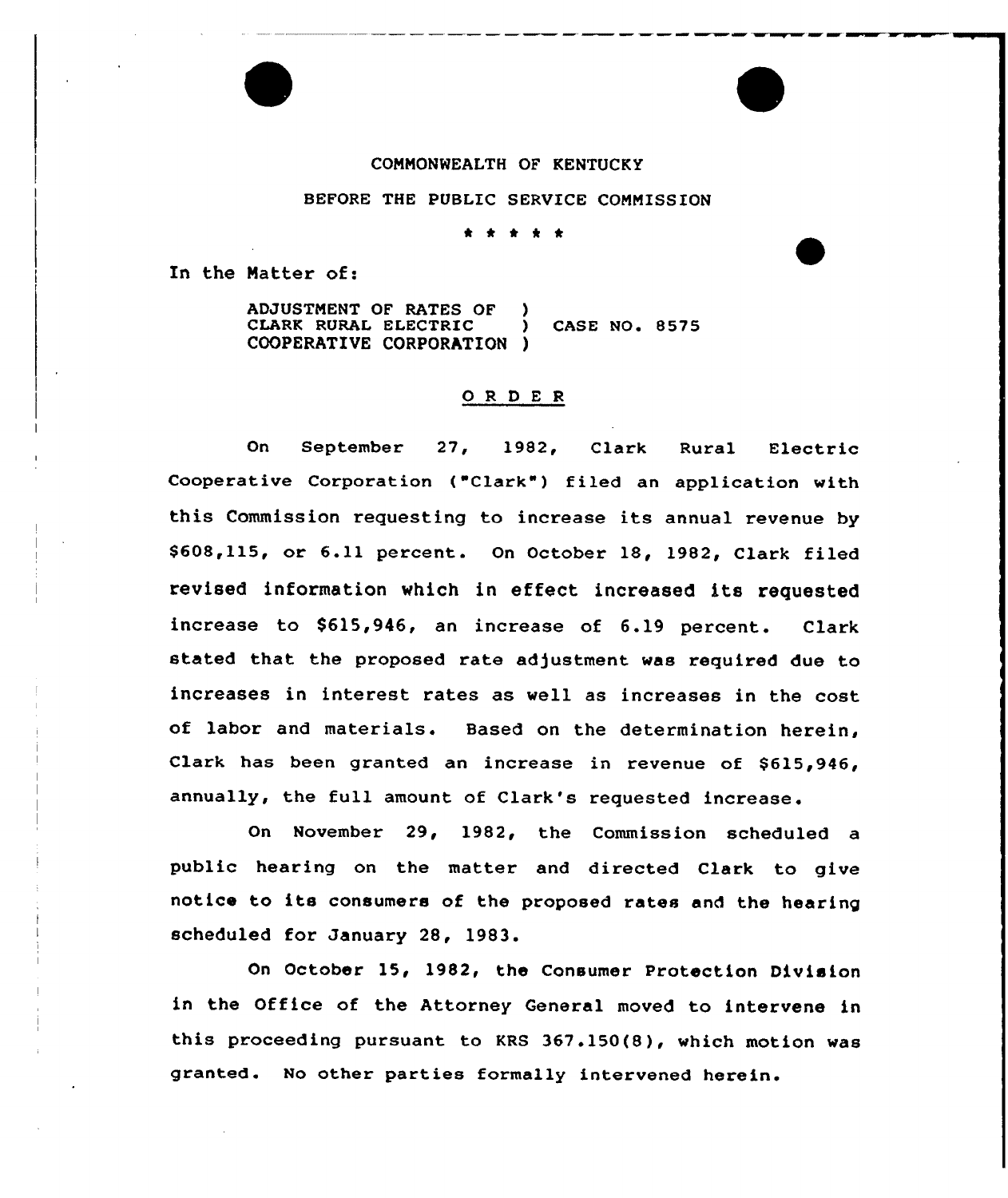#### COMMONWEALTH OF KENTUCKY

# BEFORE THE PUBLIC SERVICE COMMISSION

\* \* 0 \* \*

In the Natter of:

ADJUSTMENT OF RATES OF ) CLARK RURAL ELECTRIC ) CASE NO. 8575 COOPERATIVE CORPORATION )

### ORDER

On September 27, 1982, Clark Rural Electric Cooperative Corporation ("Clark") filed an application with this Commission requesting to increase its annual revenue by \$ 608,115, or 6.11 percent. On October 18, 1982, Clark filed revised information which in effect increased its requested increase to \$615,946, an increase of 6.19 percent. Clark stated that the proposed rate adjustment was required due to increases in interest rates as well as increases in the cost of labor and materials. Based on the determination herein, Clark has been granted an increase in revenue of \$615,946, annually, the full amount of Clark's requested increase.

On November 29, 1982, the Commission scheduled a public hearing on the matter and directed Clark to give notice to its consumers of the proposed rates and the hearing scheduled for January 28, 1983.

On October 15, 1982, the Consumer Protection Division in the Office of the Attorney General moved to intervene in this proceeding pursuant to KRS 367.150(8), which motion was granted. No other parties formally intervened herein.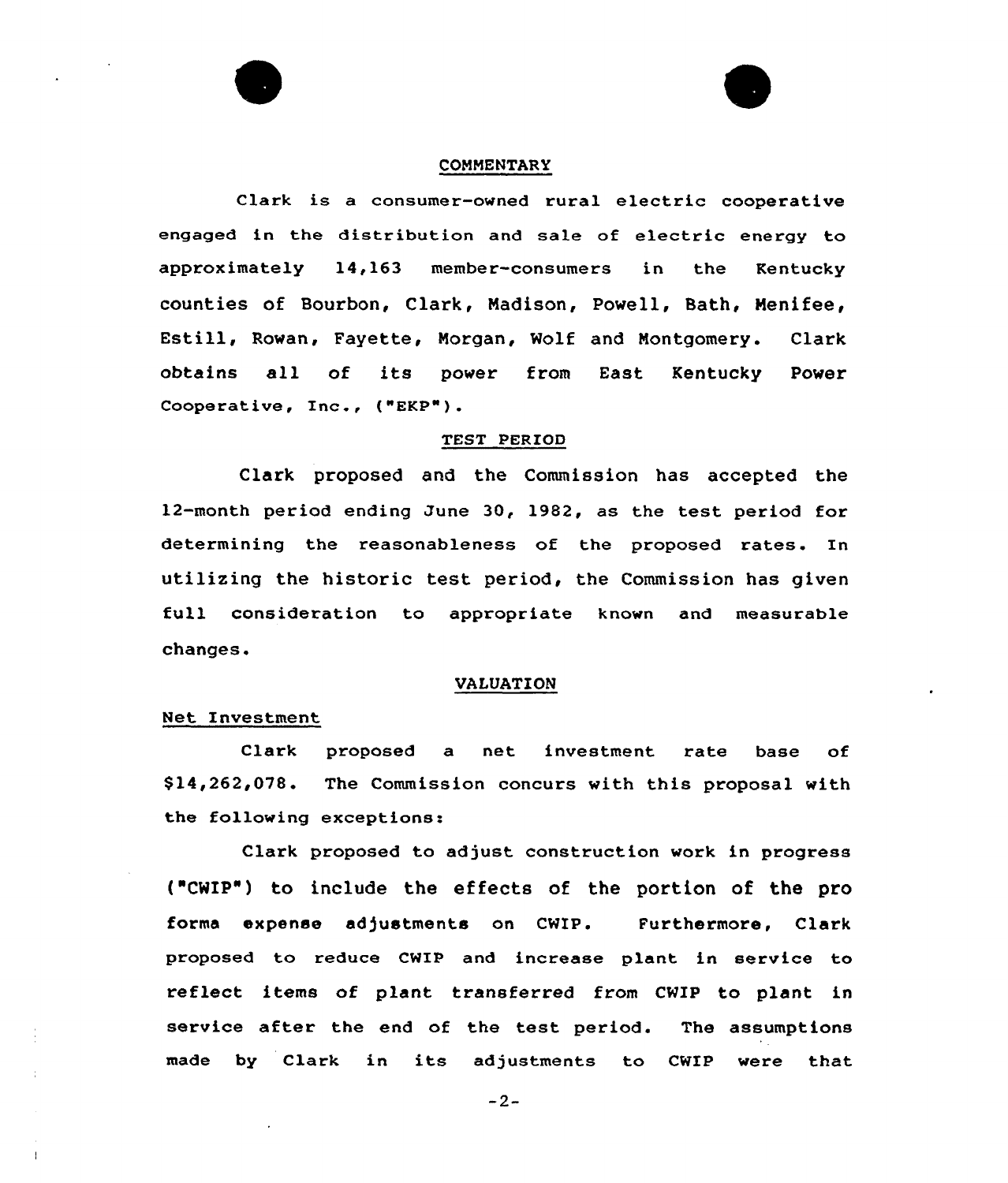#### CONMENTARY

Clark is a consumer-owned rural electric cooperative engaged in the distribution and sale of e1ectric energy to approximately 14,163 member-consumers in the Kentucky counties of Bourbon, Clark, Nadison, Powell, Bath, Menifee, Estill, Rowan, Fayette, Morgan, Wolf and Nontgomery. Clark obtains all of its power from East Kentucky power Cooperative, Inc., ("EKP").

### TEST PERIOD

Clark proposed and the Commission has accepted the 12-month period ending June 30, 1982, as the test period for determining the reasonableness of the proposed rates. In utilizing the historic test period, the Commission has given full consideration to appropriate known and measurable changes.

### VALUATION

### Net Investment

Clark proposed a net investment rate base of \$ 14,262,078. The Commission concurs with this proposal with the following exceptions:

Claxk proposed to adjust construction work in progress ("CWIP") to include the effects of the portion of the pro forma expense adjustments on CWIP. Furthermore, Clark proposed to reduce CWIP and increase plant in service to reflect items of plant transferred from CWIP to plant in service after the end of the test period. The assumptions made by Clark in its adjustments to CWIP were that

 $-2-$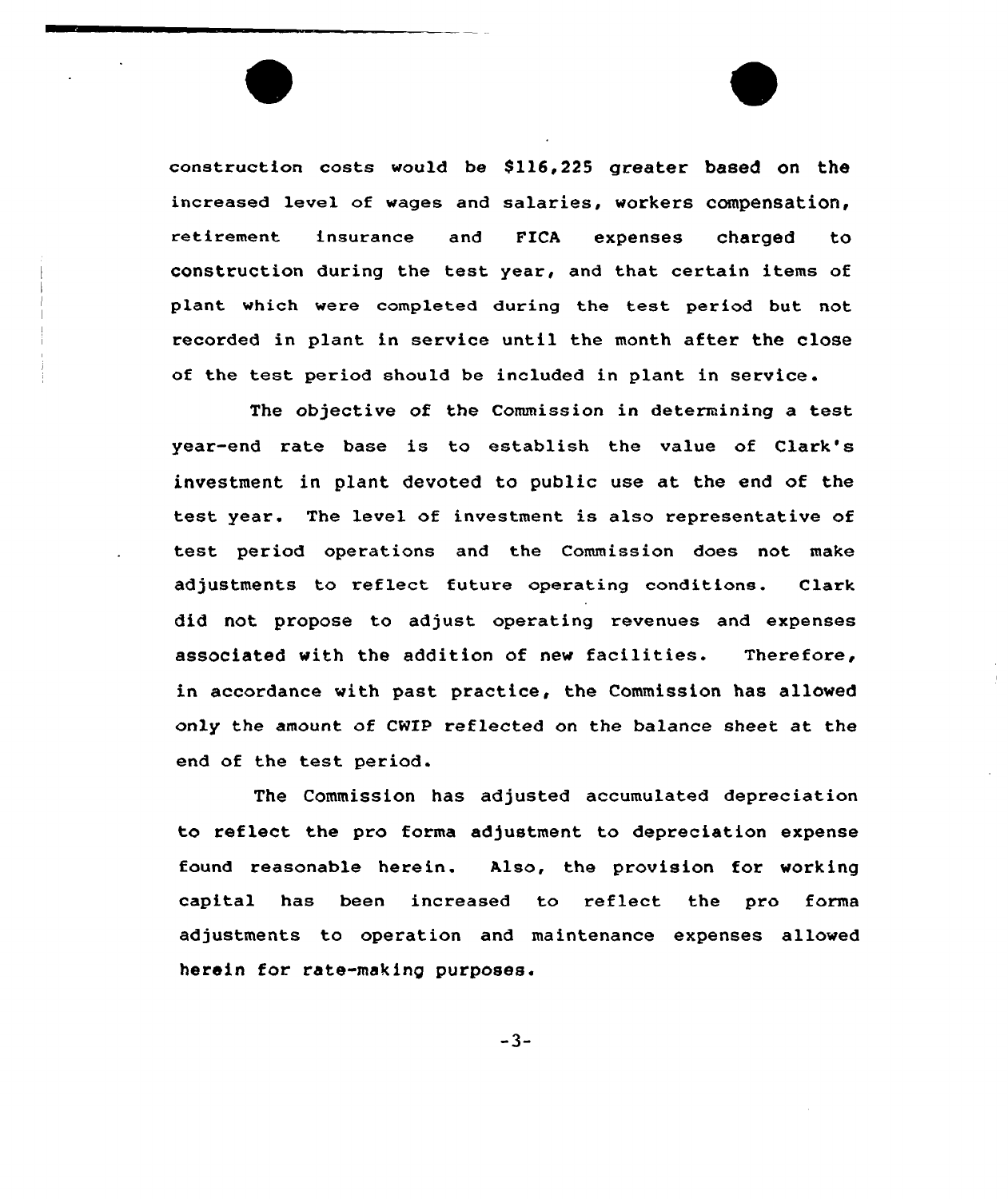construction costs would be 8ll6,225 greeter based on the increased level of wages and salaries, workers compensation, retirement insurance and FICA expenses charged to construction during the test year, and that certain items of plant which were completed during the test period but not recorded in plant in service until the month after the close of the test period should be included in plant in service.

The objective of the Commission in determining a test year-end rate base is to establish the value of Clark's investment in plant devoted to public use et the end of the test year. The level of investment is also representative of test period operations and the Commission does not make adjustments to reflect future operating conditions. Clark did not propose to adjust operating revenues and expenses associated with the addition of new facilities. Therefore, in accordance with past practice, the Commission hes allowed only the amount of CNXP reflected on the balance sheet at the end of the test period.

The Commission has adjusted accumulated depreciation to reflect the pro forms adjustment to depreciation expense found reasonable herein. Also, the provision for working capital has been increased to reflect the pro forms adjustments to operation and maintenance expenses allowed herein for rate-making purposes.

 $-3-$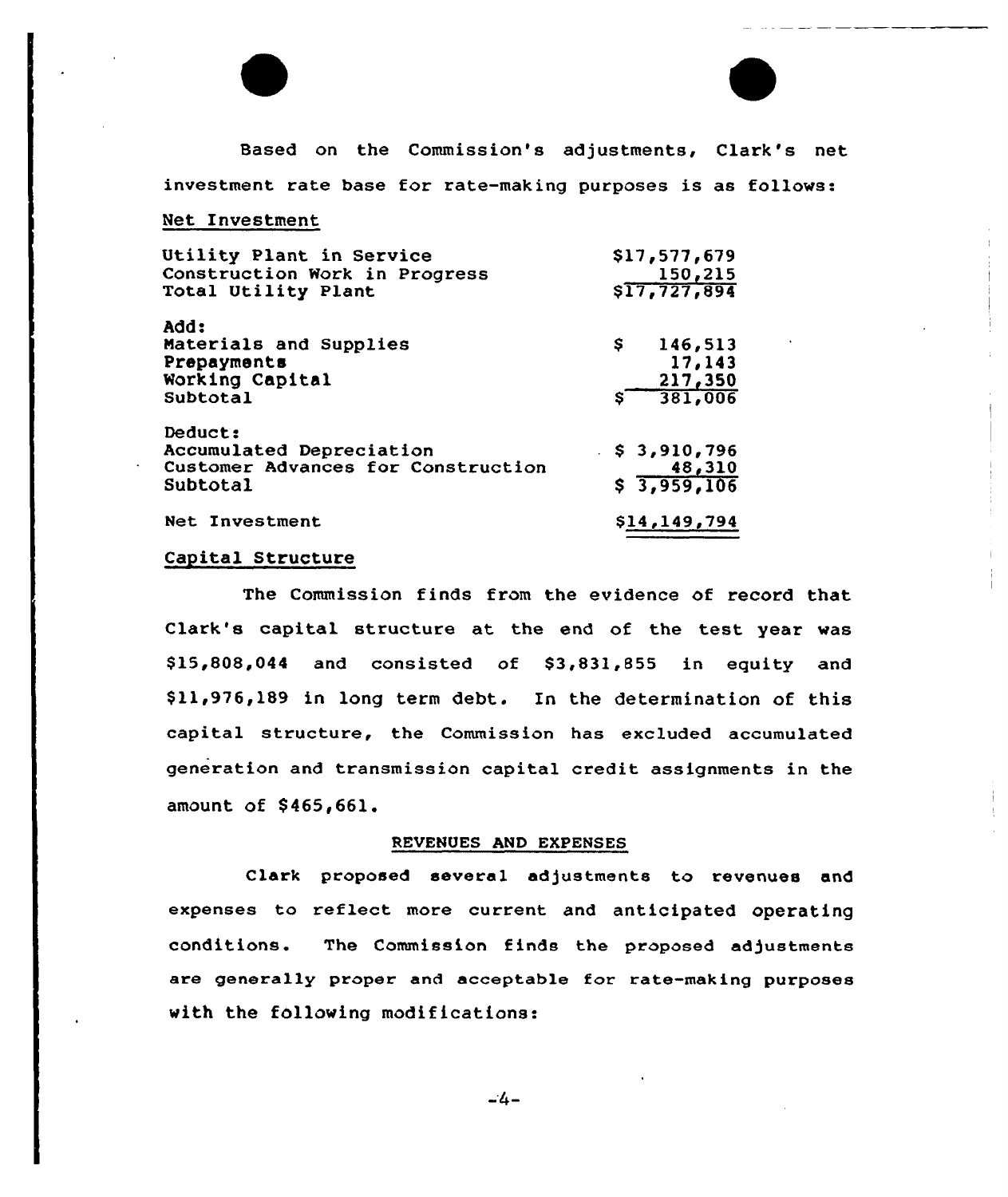

Based on the Commission's adjustments, Clark's net investment rate base for rate-making purposes is as follows:

#### Net Investment

| Utility Plant in Service                                                              | \$17,577,679                         |
|---------------------------------------------------------------------------------------|--------------------------------------|
| Construction Work in Progress                                                         | 150,215                              |
| Total Utility Plant                                                                   | \$17,727,894                         |
| Add:                                                                                  | Ş.                                   |
| Materials and Supplies                                                                | 146,513                              |
| Prepayments                                                                           | 17,143                               |
| Working Capital                                                                       | 217,350                              |
| Subtotal                                                                              | 381,006                              |
| Deduct:<br>Accumulated Depreciation<br>Customer Advances for Construction<br>Subtotal | \$3,910,796<br>48,310<br>\$3,959,106 |
| Net Investment                                                                        | \$14,149,794                         |

# Capital Structure

The Commission finds from the evidence of record that Clark's capital structure at the end of the test year was \$15,808,044 and consisted of \$3,831,855 in equity and \$ 11,976,189 in long term debt. In the determination of this capital structure, the Commission has excluded accumulated generation and transmission capital credit assignments in the amount of \$465,661.

### REVENUES AND EXPENSES

Clark proposed several adjustments to revenues and expenses to reflect more current and anticipated operating conditions. The Commission finds the proposed adjustments are generally proper and acceptable for rate-making purposes with the following modifications:

 $-4-$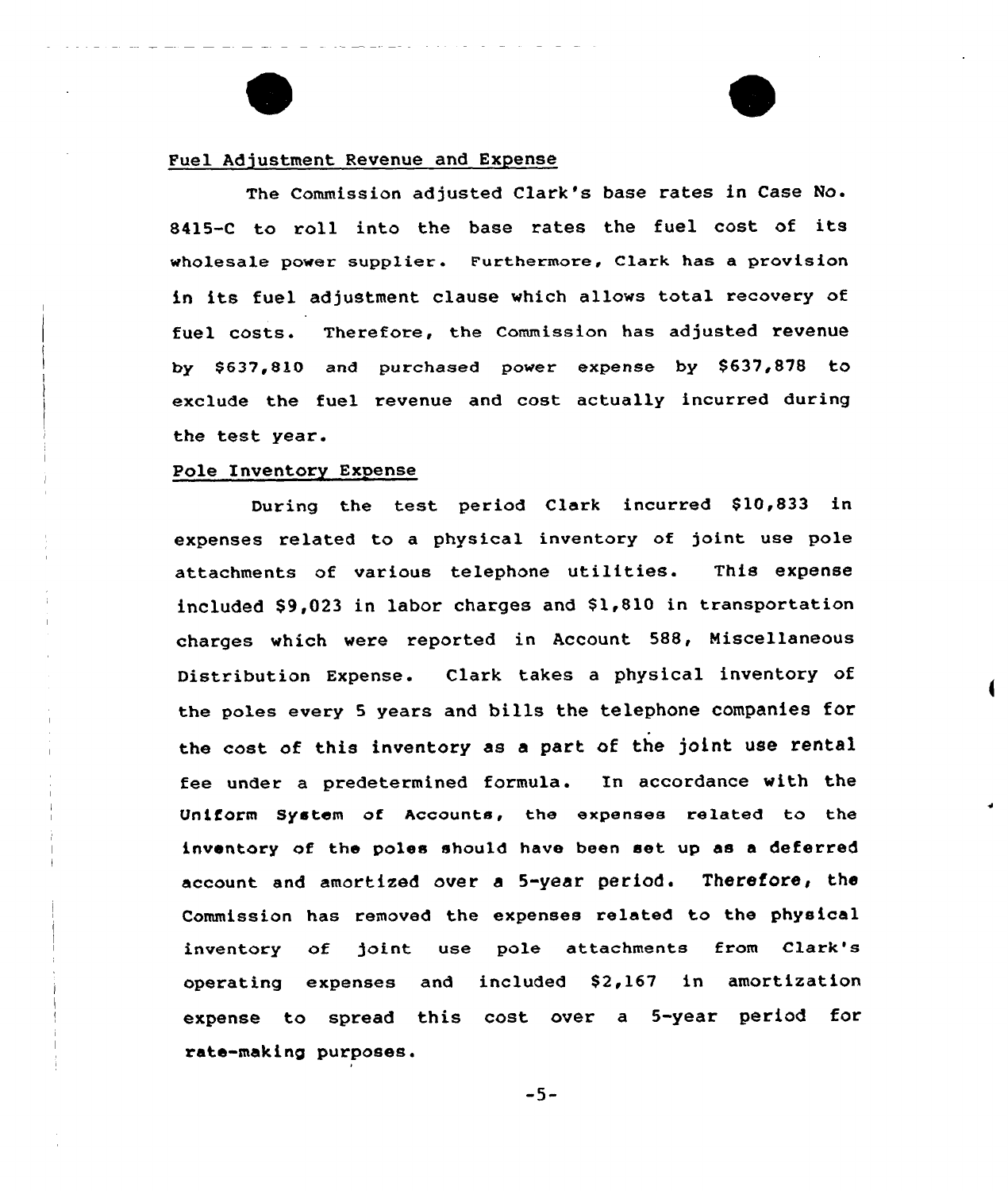### Fuel Adjustment Revenue and Expense

The Commission adjusted Clark's base rates in Case No. 8415-C to roll into the base rates the fuel cost of its wholesale power supplier. Furthermore, Clark has a provision in its fuel adjustment clause which allows total recovery of fuel costs. Therefore, the commission has adjusted revenue by \$ 637,810 and purchased power expense by \$637,878 to exclude the fuel revenue and cost actually incurred during the test year.

### Pole Inventory Expense

During the test period Clark incurred \$10,833 in expenses related to a physical inventory of joint use pole attachments of various telephone utilities. This expense included \$9,023 in labor charges and \$1,810 in transportation charges which were reported in Account 588, Miscellaneous Distribution Expense. Clark takes a physical inventory of the poles every 5 years and bills the telephone companies for the cost of this inventory as a part of the joint use rental fee under a predetermined formula. In accordance with the Uniform System of Accounts, the erpenses related to the inventory of the poles should have been set up as a deferred account and amortized over a 5-year period. Therefore, the Commission has removed the expenses related to the physical inventory of joint use pole attachments from Clark's operating expenses and included \$2,167 in amortization expense to spread this cost over a 5-year period for rate-making purposes.

 $-5-$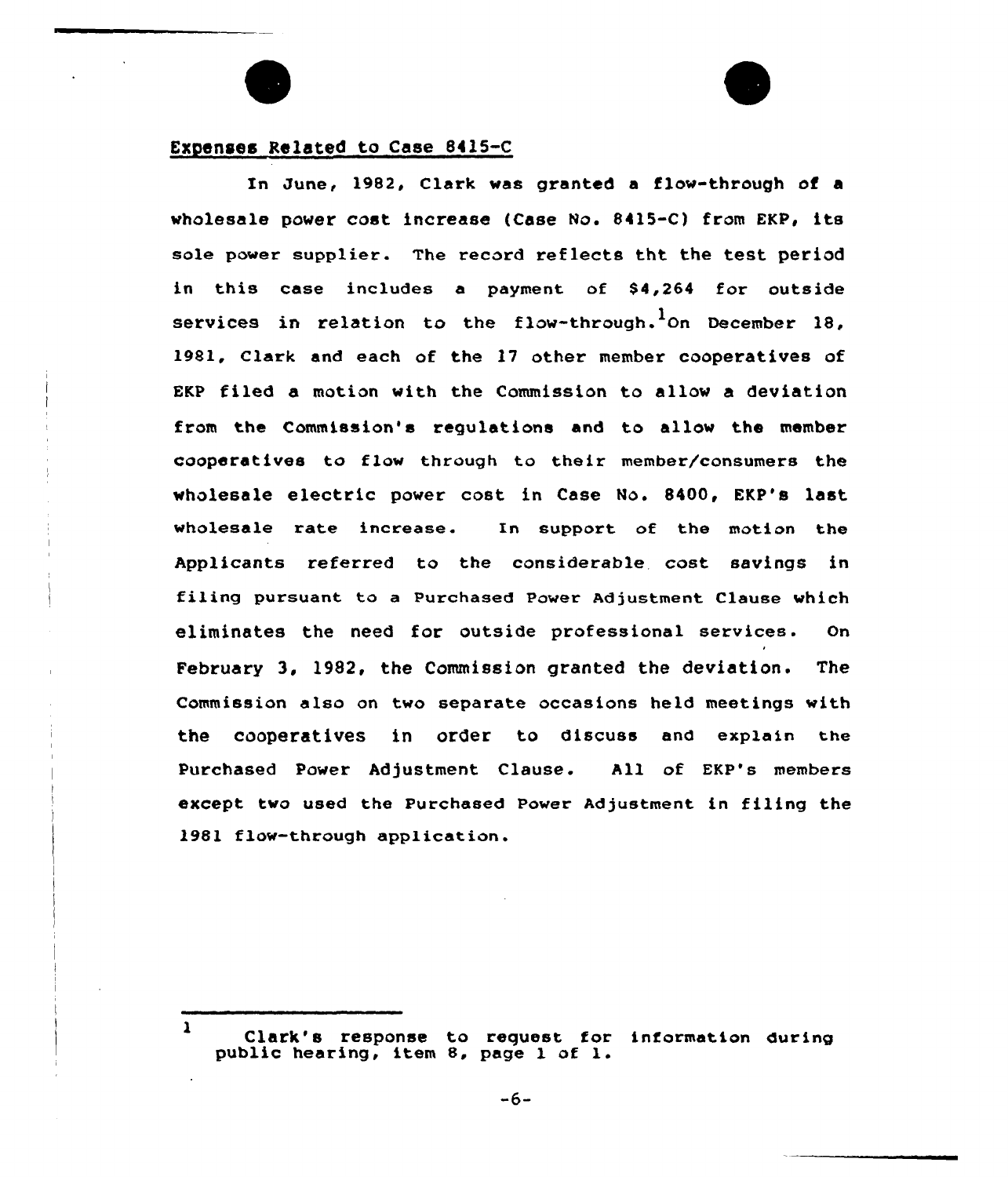# Expenses Related to Case 8415-C

In June, 1982, Clark was granted a flow-through of a wholesale power cost increase (Case No. 8415-C) from EKP, its sole power supplier. The record reflects tht the test period in this case includes a payment of  $$4,264$  for outside services in relation to the flow-through.<sup>1</sup>On December 18. 1981, Clark and each of the 17 other member cooperatives of EKP filed a motion with the Commission to allow a deviation from the Commission's requlations and to allow the member cooperatives to flow thxough to their member/consumers the wholesale electric power cost in Case No. 8400, EKP's last wholesale rate increase. In support of the motion the Applicants referxed to the considerable. cost savings in filing pursuant to a purchased power Adjustment Clause which eliminates the need for outside professional services. On February 3, 1982, the Commission granted the deviation. The Commission also on two separate occasions held meetings with the cooperatives in order to discuss and explain the Purchased Power Adjustment Clause. All of EKP's members except two used the purchased power Adjustment in filing the 1981 flow-through application.

-6-

 $\mathbf{1}$ Clark's response to request for information during public hearing, item 8, page <sup>l</sup> of l.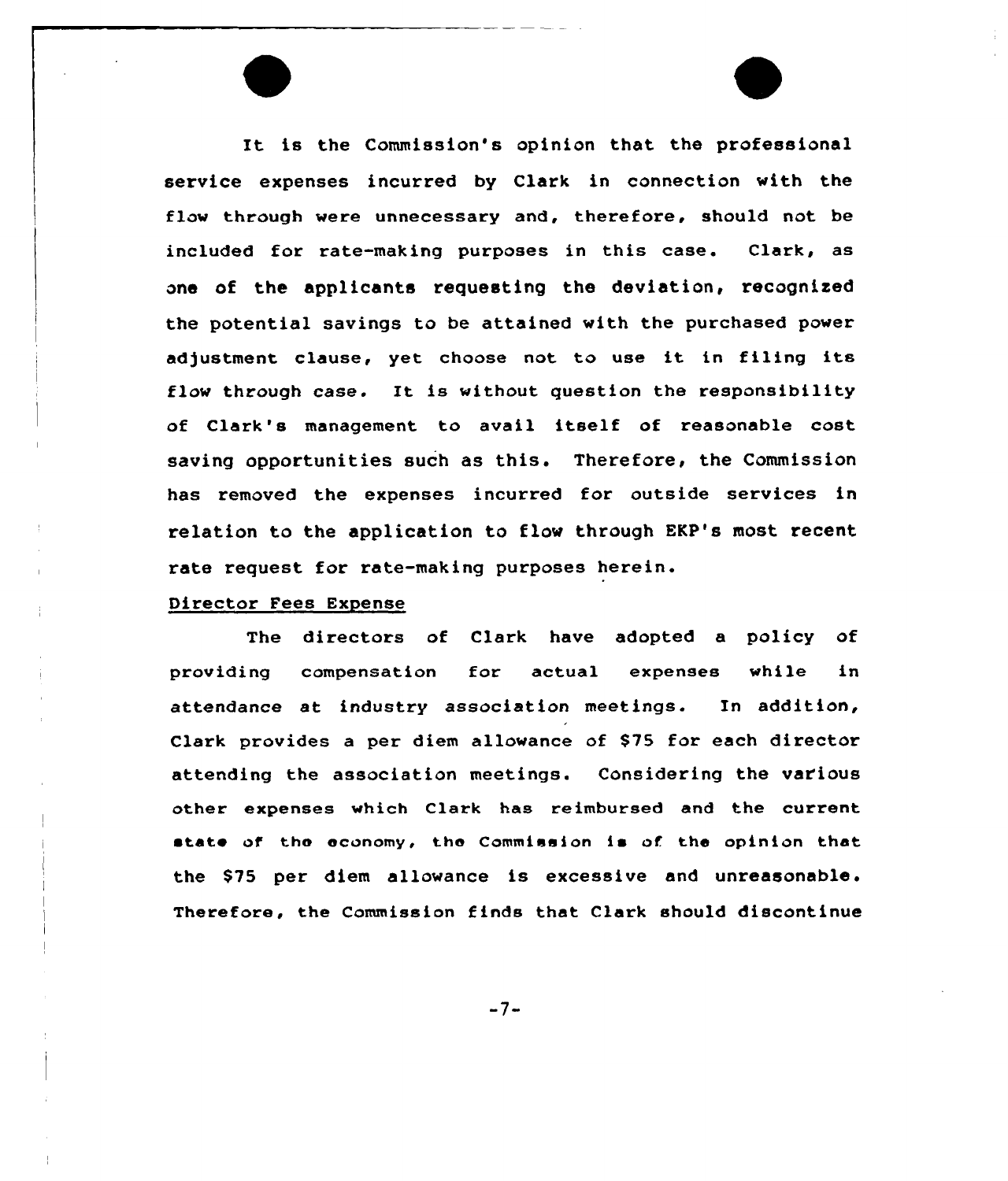It is the Commission's opinion that the professional service expenses incurred by Clark in connection with the flow through were unnecessary and, therefore, should not be included for rate-making purposes in this case. Clark, as one of the applicants requesting the deviation, recognised the potential savings to be attained with the purchased power adjustment clause, yet choose not to use it in filing its flow through case. It is without question the responsibility of Clark's management to avail itself of reasonable cost saving opportunities such as this. Therefore, the Commission has removed the expenses incurred for outside services in relation to the application to flow through EKP's most recent rate request for rate-making purposes herein.

### Director Fees Expense

The directors of Clark have adopted a policy of providing compensation for actual expenses while in attendance at industry association meetings. In addition, Clark provides a per diem allowance of \$75 for each director attending the association meetings. Considering the various other expenses which Clark has reimbursed and the current state of the economy, the Commission is of the opinion that the \$75 per diem allowance is excessive and unreasonable. Therefore, the Commission finds that Clark should discontinue

 $-7-$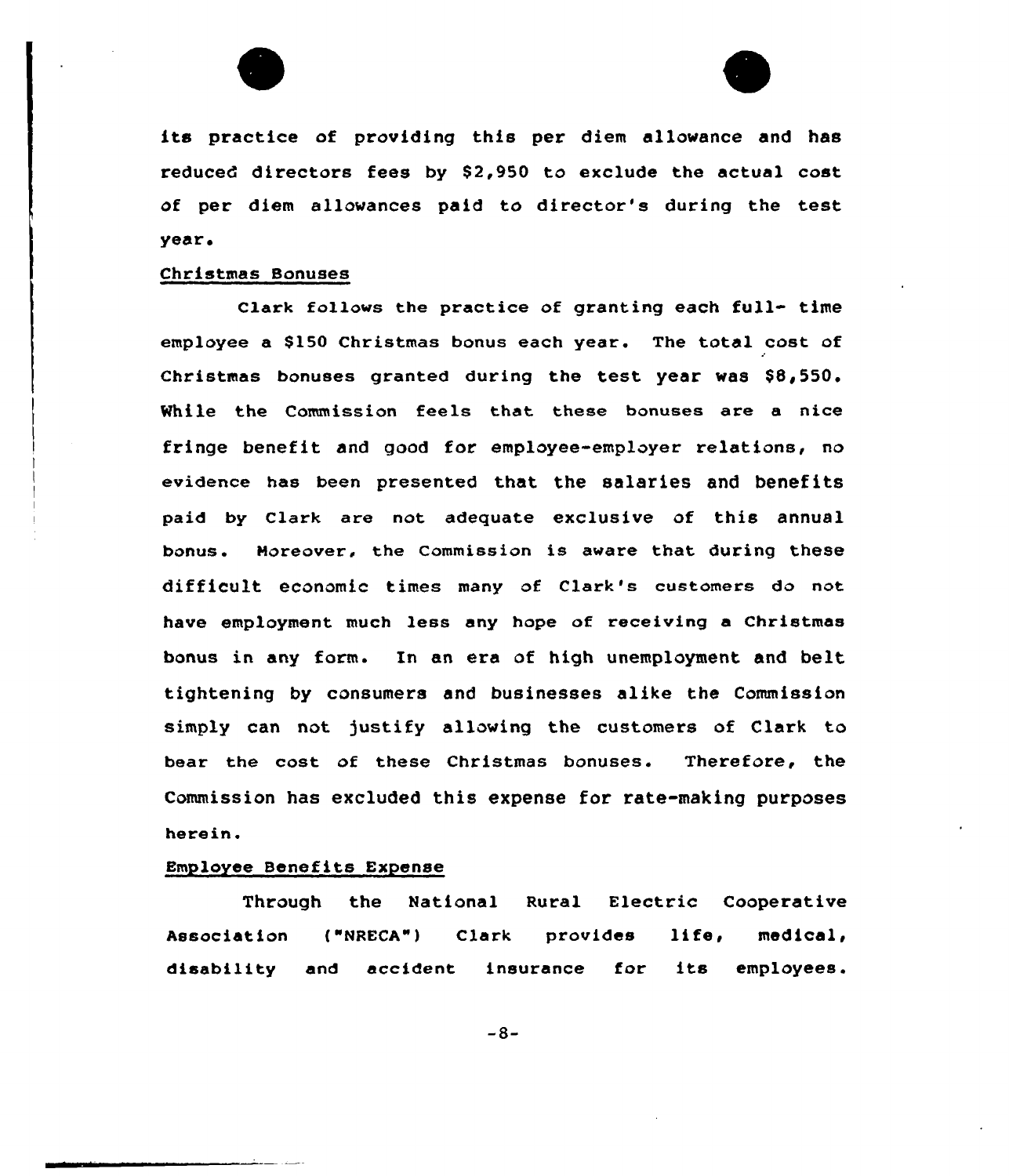



its practice of providing this per diem allowance and has reduced directors fees by \$2,950 to exclude the actual cost of per diem allowances paid to director's during the test year,

# Christmas Bonuses

Clark follows the practice of granting each full- time employee a 8150 Christmas bonus each year. The total cost of Christmas bonuses granted during the test year was  $$8,550.$ While the Commission feels that these bonuses are a nice fringe benefit and good for employee-employer relations, no evidence has been presented that the salaries and benefits paid by Clark are not adequate exclusive of this annual banus. Moreover, the Commission is aware that during these difficult economic times many of Clark's customers do not have employment much less eny hape af receiving a Christmas bonus in any form. In an era of high unemployment and belt tightening by consumers and businesses alike the Commission simply can not justify allowing the customers of Clark to beer the cast af these Christmas bonuses. Therefore, the Commission has excluded this expense for rate-making purposes herein.

#### **Employee Benefits Expense**

Through the Natianal Rural Electric Cooperative Association ("NRECA") Clerk provides life, medical, disability end accident insurance far its employees.

 $-8-$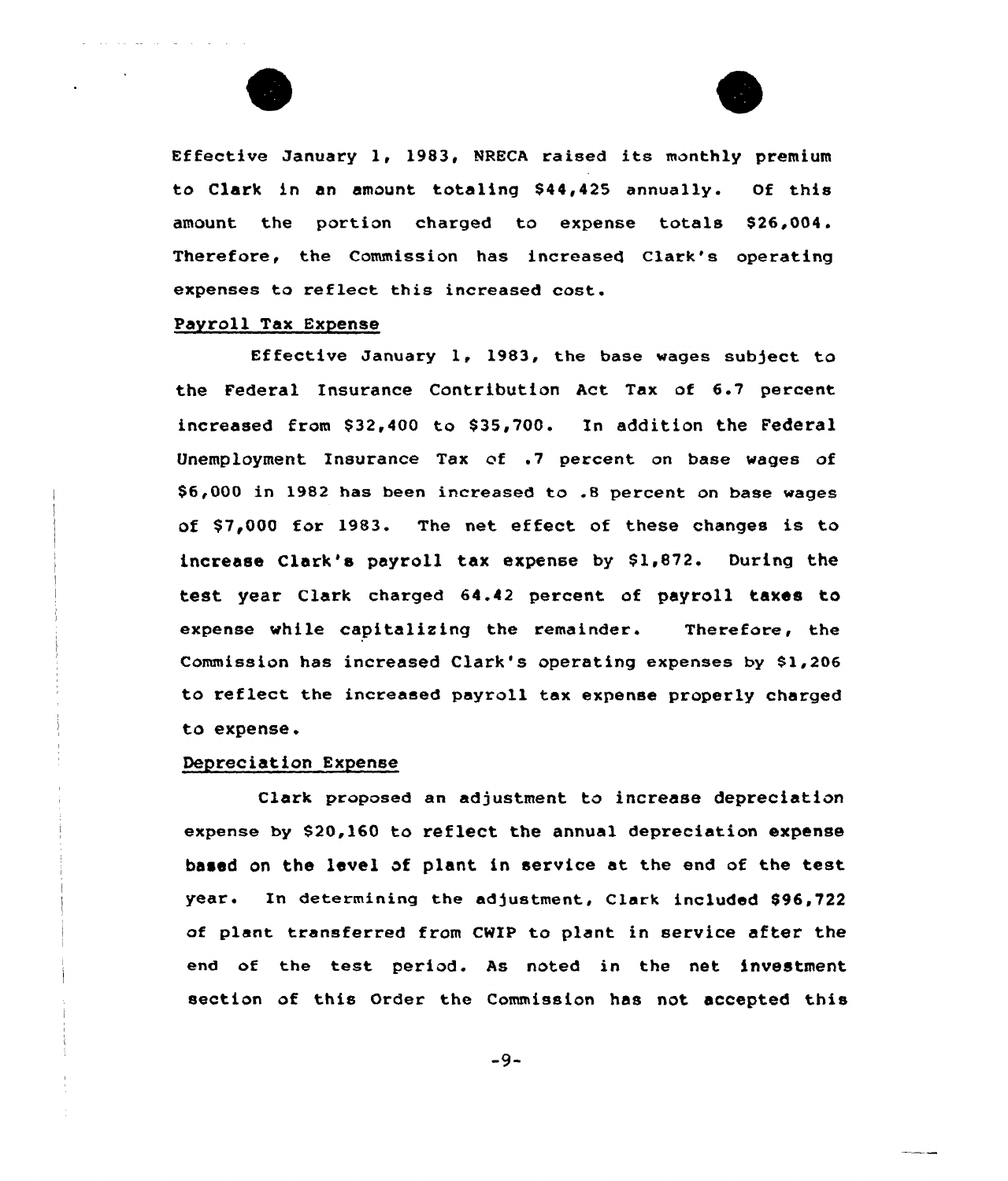



Effective January 1, 1983, NRECA raised its monthly premium to Clark in an amount totaling \$44,425 annually. Of this amount the portion charged to expense totals \$26,004. Therefore, the Commission has increased Clark's operating expenses to reflect this increased cost.

# Payroll Tax Expense

Effective January 1, 1983, the base wages subject to the Federal Insurance Contribution Act Tax of 6.7 percent increased from \$32,400 to \$35,700. In addition the Federal Unemployment Insurance Tax of .7 percent on base wages of \$6,000 in 1982 has been increased to .8 percent on base wages of \$7,000 for 1983. The net effect of these changes is to increase Clark's payroll tax expense by  $$1,872$ . During the test year Clark charged 64.42 percent of payroll taxes to expense while capitalizing the remainder. Therefore, the Commission has increased Clark's operating expenses by 81,206 to reflect the increased payroll tax expense properly charged to expense.

## Depreciation Expense

Clark proposed an adjustment to increase depreciation expense by 820,160 to reflect the annual depreciation expense based on the level of plant in service at the end of the test year. In determining the adjustment, Clark included \$96,722 of plant transferred from CWIP to plant in service after the end of the test period. As noted in the net investment section of this Order the Commission has not accepted this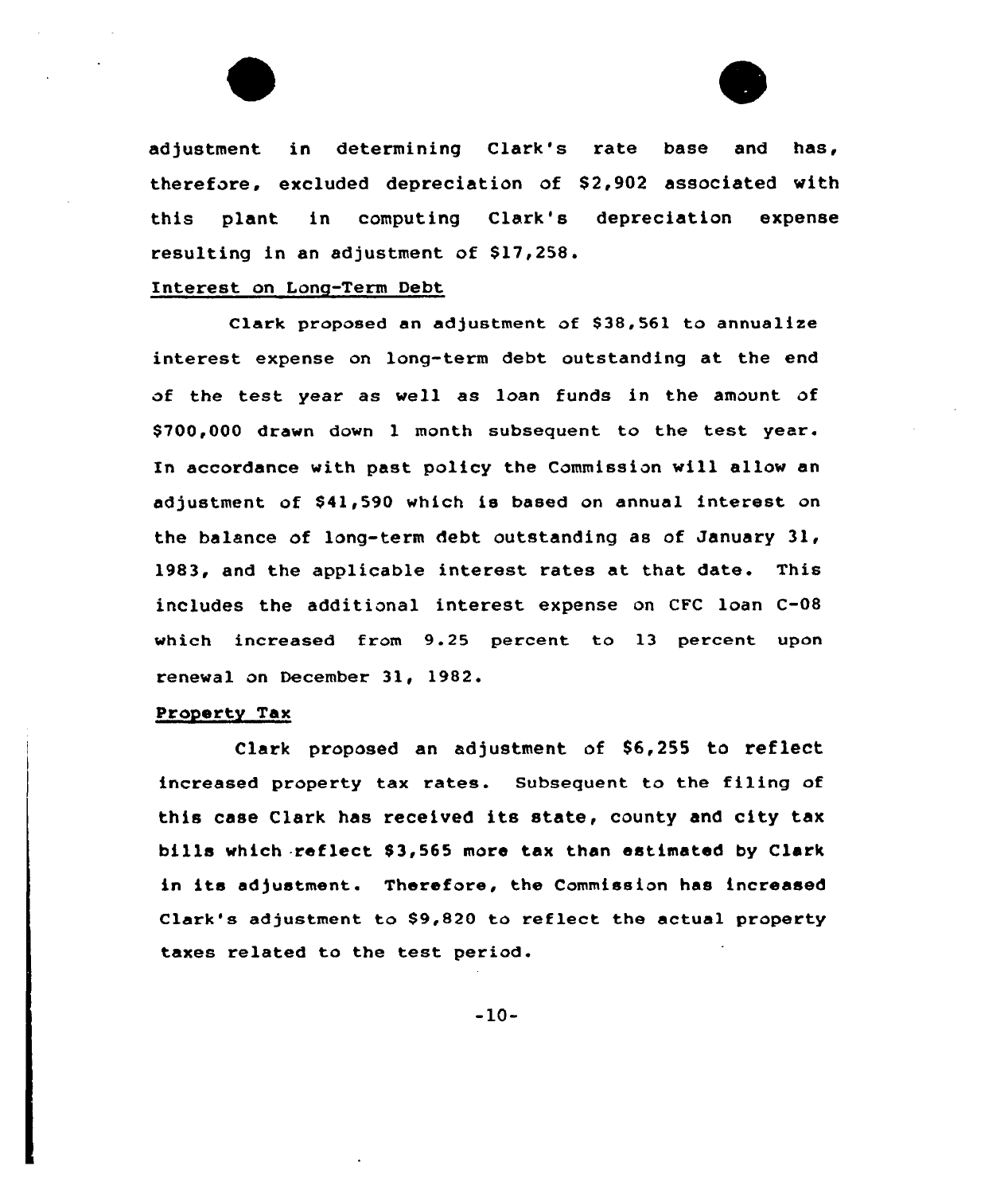

adjustment in determining Clark's rate base and has, therefore, excluded depreciation of \$2,902 associated with this plant in computing Clark's depreciation expense resulting in an adjustment of \$17,258.

# Interest on Long-Term Debt

Clark proposed an adjustment of \$38,561 to annualize interest expense on long-term debt outstanding at the end of the test year as well as loan funds in the amount of \$700,000 drawn down 1 month subsequent to the test year. In accordance with past policy the Commission will allow en adjustment of \$41,590 which is based on annual interest on the balance of long-term debt. outstanding as of January 31, 1983, end the applicable interest rates et that date. This includes the additional interest expense on CFC loan C-08 which increased from 9.25 percent to 13 percent upon renewal on December 31, 1982.

# Property Tax

Clark proposed an adjustment of 86,255 to reflect increased property tax rates. Subsequent to the filing of this case Clark has received its state, county and city tax bills which reflect \$3,565 more tax than estimated by Clark in its adjustment. Therefore, the Commission has increased Clark's adjustment to \$9,820 to reflect the actual property taxes related to the test period.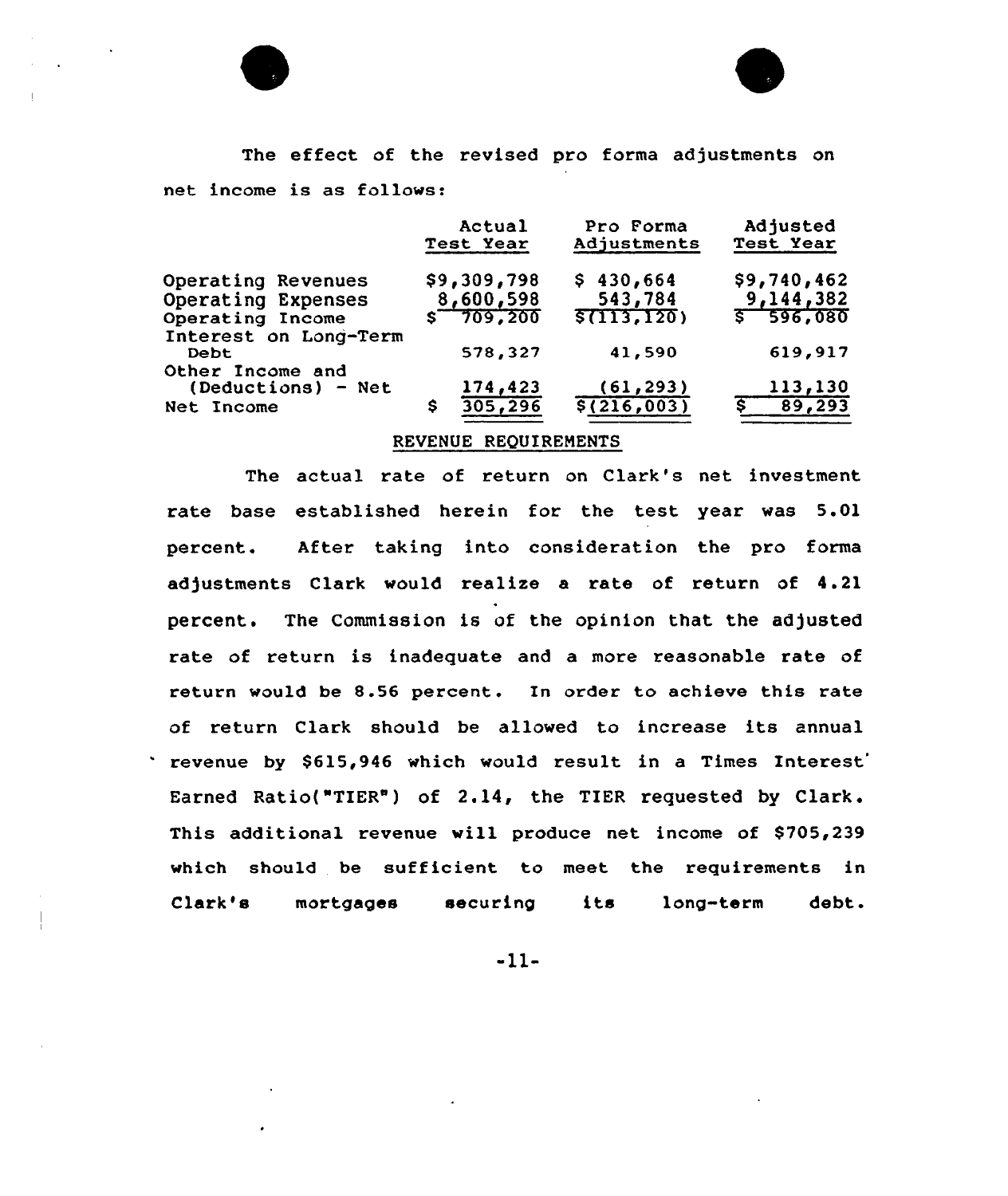

The effect of the revised pro forma adjustments on net income is as follows:

|                                          | Actual<br>Test Year | Pro Forma<br>Adjustments | Adjusted<br>Test Year |
|------------------------------------------|---------------------|--------------------------|-----------------------|
| Operating Revenues                       | \$9,309,798         | \$430,664                | \$9,740,462           |
| Operating Expenses                       | 8,600,598           | 543,784                  | 9,144,382             |
| Operating Income                         | $$-709,200$         | \$(113, 120)             | $5 - 596,080$         |
| Interest on Long-Term<br><b>Debt</b>     | 578,327             | 41,590                   | 619,917               |
| Other Income and<br>$(Deductions) - Net$ | 174,423             | (61, 293)                | 113,130               |
| Net Income                               | 305, 296<br>s       | \$(216,003)              | 89,293                |

# REVENUE REQUIRENENTS

The actual rate of return on Clark's net investment rate base established herein for the test year was 5.01 percent. After taking into consideration the pro forma adjustments Clark would realise a rate of return of 4.21 percent. The Commission is of the opinion that the adjusted rate of return is inadequate and a more reasonable rate of return would be 8.56 percent. 1n order to achieve this rate of return Clark should be allowed to increase its annual revenue by \$615,946 which would result in a Times Interest Earned Ratio("TIER") of 2.14, the TIER requested by Clark. This additional revenue will produce net income of \$705,239 which should be sufficient to meet the requirements in Clark's mortgages securing its long-term debt.

-11-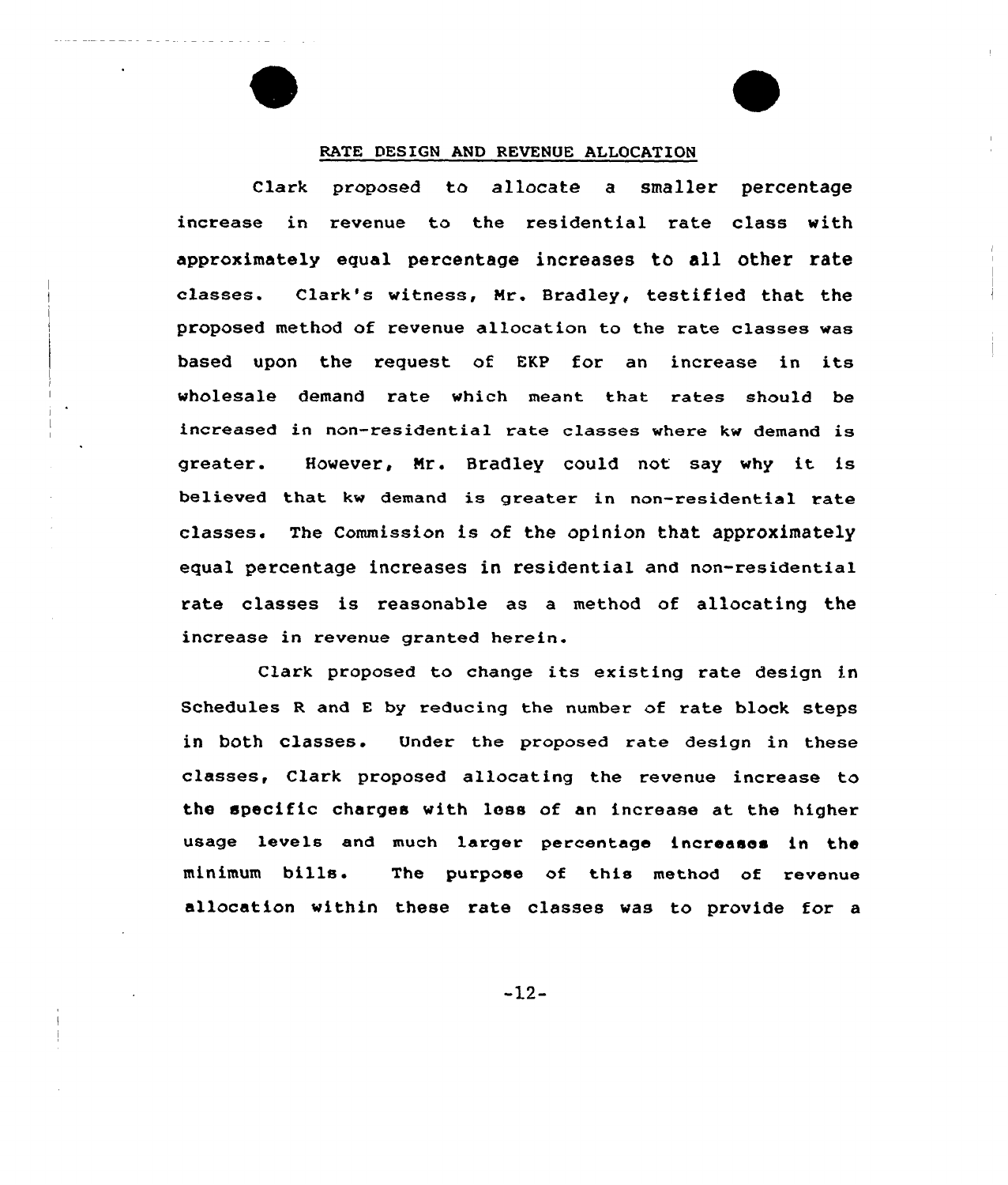## RATE DESIGN AND REVENUE ALLOCATIQN

clark proposed to allocate a smaller percentage increase in xevenue to the residential rate class with approximately equal percentage increases to all other rate classes. Clark's witness, Nr. Bradley, testified that the proposed method of revenue allocation to the rate classes was based upon the request of EKP for an increase in its wholesale demand rate which meant that rates should be increased in non-residential rate classes where kw demand is greater. However, Nr. Bradley could not say why it is believed that kw demand is greater in non-residential rate classes. The Commission is of the opinion that approximately equal percentage increases in residential and non-residential rate classes is reasonable as a method of allocating the increase in revenue granted herein.

Clark proposed to change its existing rate design in Schedules <sup>R</sup> and <sup>E</sup> by reducing the number of rate block steps in both classes. Under the proposed rate design in these classes, Clark proposed allocating the revenue increase to the specific charges with less of an increase at the higher usage levels and much larger percentage increases in the minimum bills. The purpose of this method of revenue allocation within these rate classes was to provide for a

-12-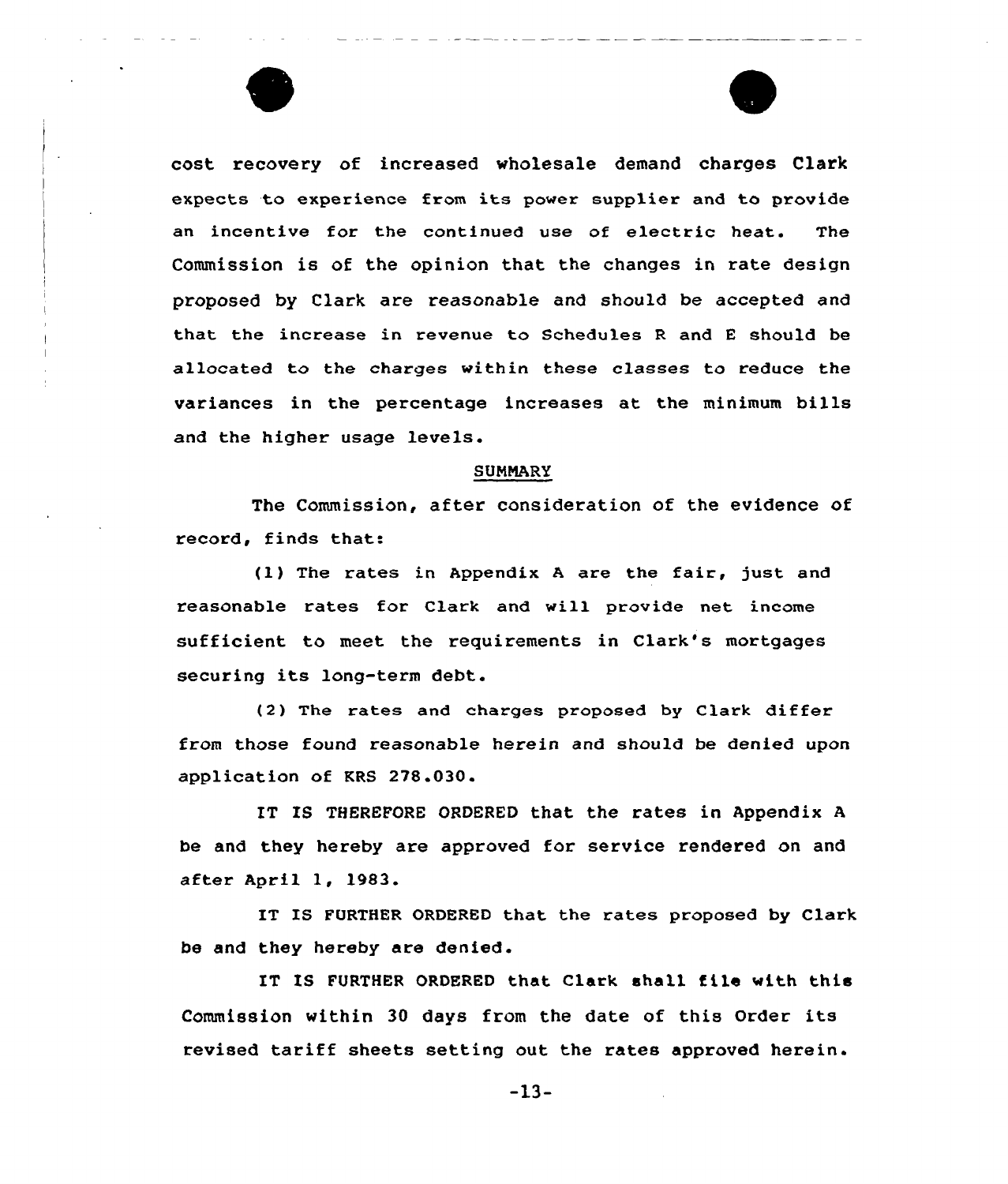



cost recovery of increased wholesale demand charges Clark expects to experience from its power supplier and to provide an incentive for the continued use of e1ectric heat. The Commission is of the opinion that the changes in rate design proposed by Clark are reasonable and should be accepted and that the increase in revenue to Schedules <sup>R</sup> and <sup>E</sup> should be allocated to the charges within these classes to reduce the variances in the percentage increases at the minimum bills and the higher usage levels.

#### SUNNARY

The Commission, after consideration of the evidence of record, finds that:

(1) The rates in Appendix <sup>A</sup> are the fair, just and reasonable rates for Clark and will provide net income sufficient to meet the requirements in Clark's mortgages securing its long-term debt.

(2) The rates and charges proposed by Clark differ from those found reasonable herein and should be denied upon application of KRS 278.030.

ET IS THEREFORE ORDERED that the rates in Appendix <sup>A</sup> be and they hereby are approved for service rendered on and after April 1, 1983.

IT IS FURTHER ORDERED that the rates proposed by Clark be and they hereby are denied.

IT IS FURTHER ORDERED that Clark shall file with this Commission within 30 days from the date of this Order its revised tariff sheets setting out the rates approved herein.

 $-13-$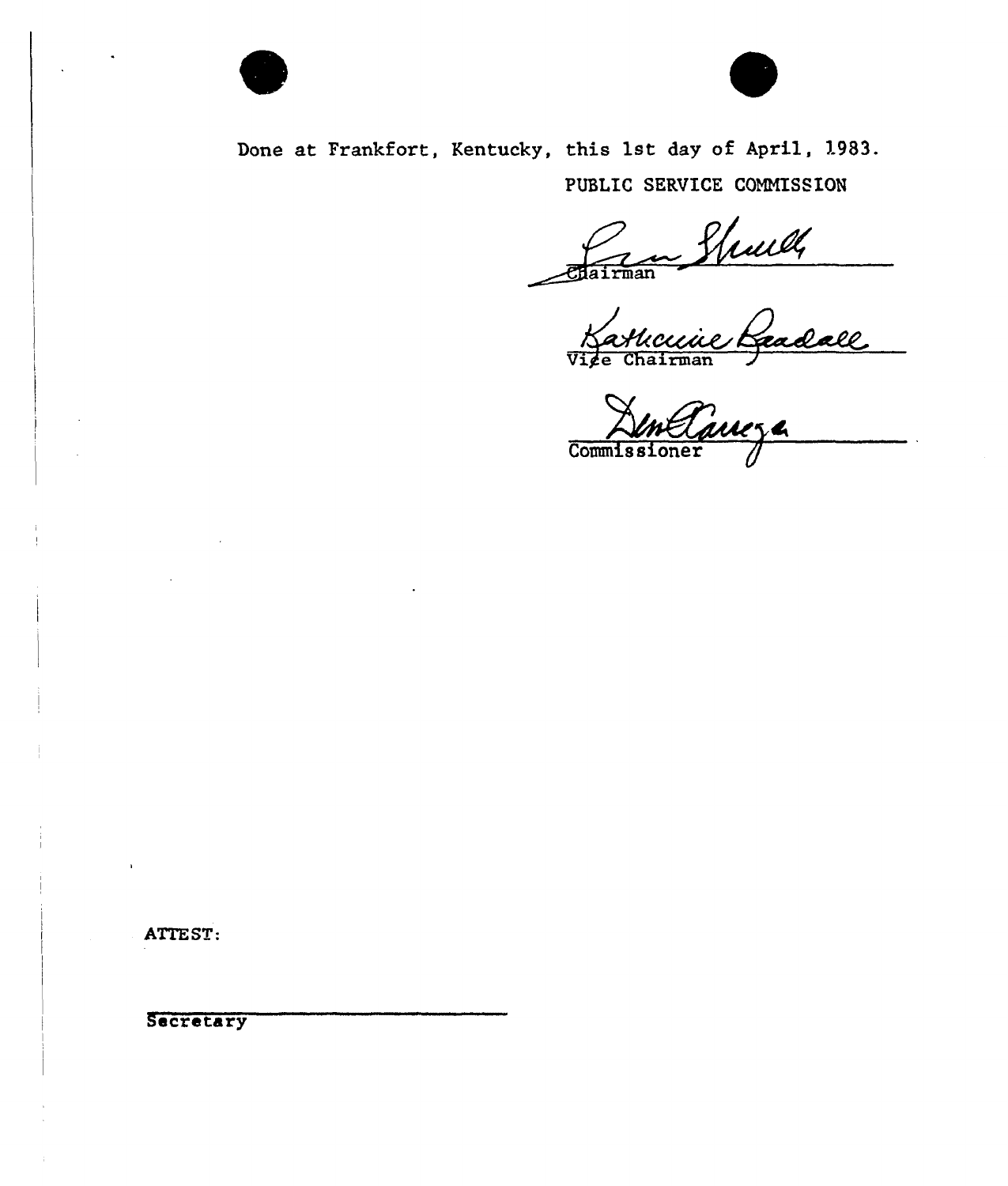



Done at Frankfort, Kentucky, this 1st day of April, 1983. PUBLIC SERVICE COMNISSION

Vige Chairman

Commissioner

ATTEST:

Secretary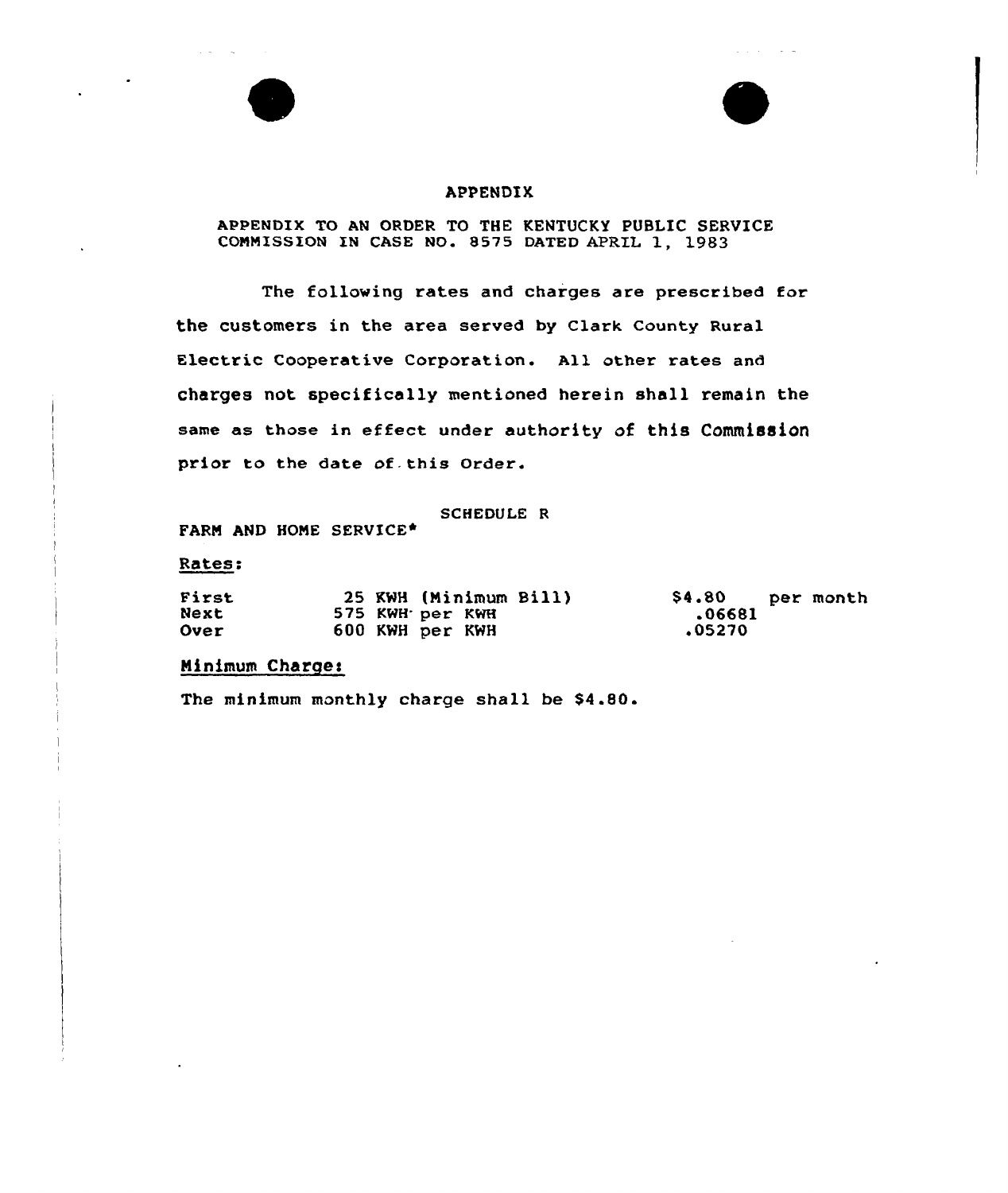# APPENDIX

# APPENDIX TO AN ORDER TO THE KENTUCKY PUBLIC SERVICE COMMISSION IN CASE NO. 8575 DATED APRIL 1, 1983

The following rates and charges are prescribed for the customers in the area served by Clark County Rural Electric Cooperative Corporation. All other rates and charges not specifically mentioned herein shall remain the same as those in effect under authority of this Commission prior to the date of this Order.

SCHEDULE R

FARM AND HOME SERVICE\*

#### Ratesz

| First       |  | 25 KWH (Minimum Bill) | \$4.80 per month |  |
|-------------|--|-----------------------|------------------|--|
| Next        |  | 575 KWH per KWH       | .06681           |  |
| <b>Over</b> |  | 600 KWH per KWH       | .05270           |  |

# Ninimum Charges

The minimum monthly charge shall be \$4.80.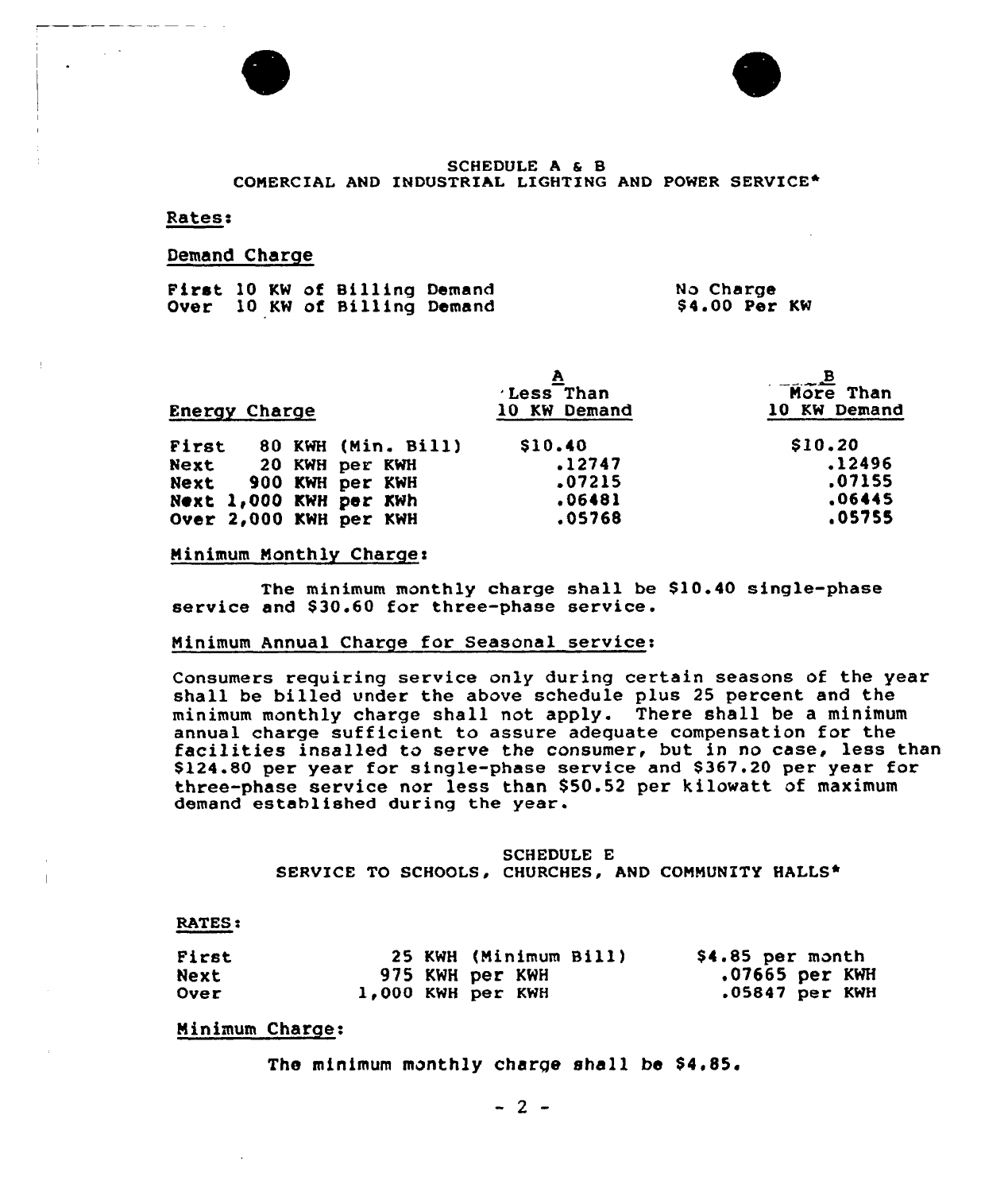



### SCHEDULE A & B COMERCIAL AND INDUSTRIAL LIGHTING AND POWER SERVICE\*

#### Rates:

#### Demand Charge

|  |  | First 10 KW of Billing Demand<br>Over 10 KW of Billing Demand |  | No Charge | \$4.00 Per KW |  |
|--|--|---------------------------------------------------------------|--|-----------|---------------|--|
|  |  |                                                               |  |           |               |  |

| <b>Energy Charge</b> |  |                        | LessThan<br>10 KW Demand | $M$ $\overline{M}$ $\overline{C}$ $\overline{C}$ $\overline{D}$ $\overline{C}$ $\overline{D}$ $\overline{C}$ $\overline{D}$ $\overline{C}$ $\overline{D}$ $\overline{C}$ $\overline{D}$ $\overline{C}$ $\overline{D}$ $\overline{C}$ $\overline{D}$ $\overline{C}$ $\overline{D}$ $\overline{C}$ $\overline{D}$ $\overline{C}$ $\overline{D}$ $\overline{C}$ $\overline{D}$<br>10 KW Demand |
|----------------------|--|------------------------|--------------------------|---------------------------------------------------------------------------------------------------------------------------------------------------------------------------------------------------------------------------------------------------------------------------------------------------------------------------------------------------------------------------------------------|
| First                |  | 80 KWH (Min. Bill)     | \$10.40                  | \$10.20                                                                                                                                                                                                                                                                                                                                                                                     |
|                      |  | Next 20 KWH per KWH    | .12747                   | .12496                                                                                                                                                                                                                                                                                                                                                                                      |
|                      |  | Next 900 KWH per KWH   | .07215                   | .07155                                                                                                                                                                                                                                                                                                                                                                                      |
|                      |  | Next 1,000 KWH per KWh | .06481                   | .06445                                                                                                                                                                                                                                                                                                                                                                                      |
|                      |  | Over 2,000 KWH per KWH | .05768                   | .05755                                                                                                                                                                                                                                                                                                                                                                                      |

### Ninimum Nonthly Charges

The minimum monthly charge shall be \$10.40 single-phase service and \$30.60 for three-phase service.

### Ninimum Annual Charge for Seasonal service:

Consumers requiring service only during certain seasons of the year shall be billed under the above schedule plus 25 percent and the minimum monthly charge shall not apply. There shall be a minimum facilities insalled to serve the consumer, but in no case, less than \$124.80 per year for single-phase service and \$ 367.20 per year for three-phase service nor less than \$ 50.52 per kilowatt of maximum demand established during the year.

### SCHEDULE E SERVICE TO SCHOOLS, CHURCHES, AND CONNUNITY HALLS\*

#### RATES:

| First | 25 KWH (Minimum Bill) | \$4.85 per month |
|-------|-----------------------|------------------|
| Next  | 975 KWH per KWH       | $.07665$ per KWH |
| Over  | 1.000 KWH per KWH     | $.05847$ per KWH |

# Ninimum Charge:

The minimum monthly charge shall be \$4,85.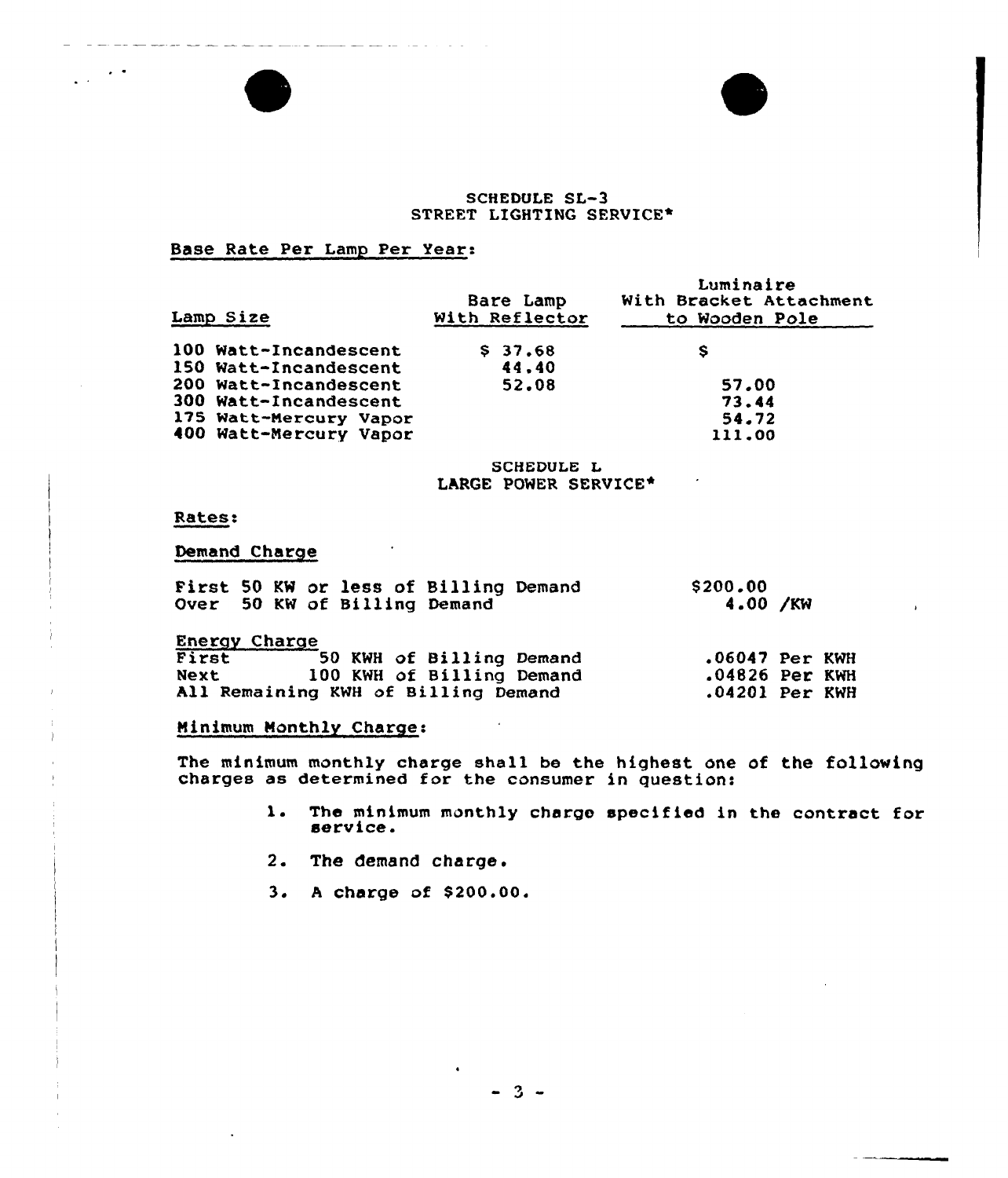### SCHEDULE SL-3 STREET LIGHTING SERVICE\*

# Base Rate Per Lamp Per Year:

and southern account and significant con-

| Lamp Size              | Bare Lamp<br>With Reflector | Luminaire<br>With Bracket Attachment<br>to Wooden Pole |
|------------------------|-----------------------------|--------------------------------------------------------|
| 100 Watt-Incandescent  | \$37.68                     | s                                                      |
| 150 Watt-Incandescent  | 44.40                       |                                                        |
| 200 Watt-Incandescent  | 52.08                       | 57.00                                                  |
| 300 Watt-Incandescent  |                             | 73.44                                                  |
| 175 Watt-Mercury Vapor |                             | 54.72                                                  |
| 400 Watt-Mercury Vapor |                             | 111.00                                                 |

# SCHEDULE L LARGE POWER SERVICE\*

### Rates:

 $\mathbf{L}^{\text{max}}$ 

# Demand Charge

| First 50 KW or less of Billing Demand<br>Over 50 KW of Billing Demand | \$200.00<br>4.00 /KW |  |
|-----------------------------------------------------------------------|----------------------|--|
| <b>Energy Charge</b>                                                  |                      |  |
| First 50 KWH of Billing Demand                                        | $.06047$ Per KWH     |  |
| 100 KWH of Billing Demand<br>Next                                     | $.04826$ Per KWH     |  |
| All Remaining KWH of Billing Demand                                   | $.04201$ Per KWH     |  |

# Minimum Monthly Charge:

The minimum monthly charge shall be the highest one of the followin charges as determined for the consumer in question:

- 1. The minimum monthly charge specified in the contract for service.
- 2. The demand charge.
- 3. A charge of \$200.00.